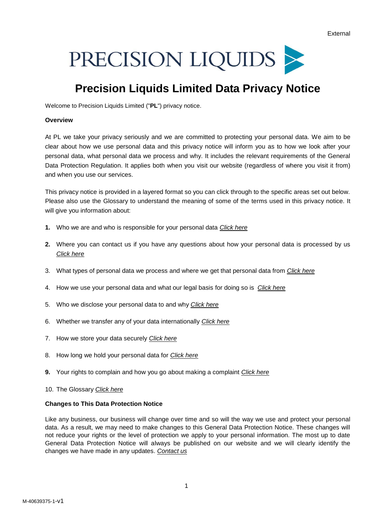# PRECISION LIQUIDS

# **Precision Liquids Limited Data Privacy Notice**

Welcome to Precision Liquids Limited ("**PL**") privacy notice.

# **Overview**

At PL we take your privacy seriously and we are committed to protecting your personal data. We aim to be clear about how we use personal data and this privacy notice will inform you as to how we look after your personal data, what personal data we process and why. It includes the relevant requirements of the General Data Protection Regulation. It applies both when you visit our website (regardless of where you visit it from) and when you use our services.

This privacy notice is provided in a layered format so you can click through to the specific areas set out below. Please also use the Glossary to understand the meaning of some of the terms used in this privacy notice. It will give you information about:

- **1.** Who we are and who is responsible for your personal data *[Click here](#page-1-0)*
- **2.** Where you can contact us if you have any questions about how your personal data is processed by us *[Click here](#page-1-1)*
- 3. What types of personal data we process and where we get that personal data from *[Click here](#page-1-2)*
- 4. How we use your personal data and what our legal basis for doing so is *[Click here](#page-2-0)*
- 5. Who we disclose your personal data to and why *[Click here](#page-5-0)*
- 6. Whether we transfer any of your data internationally *[Click here](#page-5-1)*
- 7. How we store your data securely *[Click here](#page-5-2)*
- 8. How long we hold your personal data for *[Click here](#page-6-0)*
- **9.** Your rights to complain and how you go about making a complaint *[Click here](#page-6-1)*
- 10. The Glossary *[Click here](#page-8-0)*

# **Changes to This Data Protection Notice**

Like any business, our business will change over time and so will the way we use and protect your personal data. As a result, we may need to make changes to this General Data Protection Notice. These changes will not reduce your rights or the level of protection we apply to your personal information. The most up to date General Data Protection Notice will always be published on our website and we will clearly identify the changes we have made in any updates. *[Contact us](https://www.wrbarnett.com/wrcontact.html)*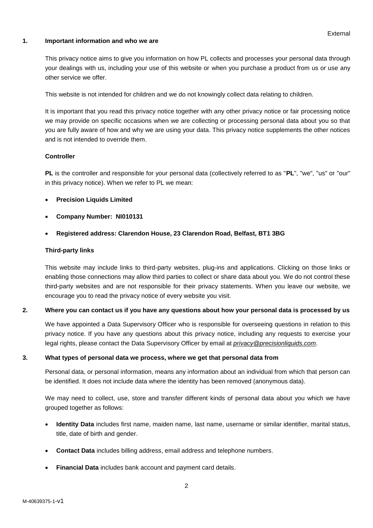# <span id="page-1-0"></span>**1. Important information and who we are**

This privacy notice aims to give you information on how PL collects and processes your personal data through your dealings with us, including your use of this website or when you purchase a product from us or use any other service we offer.

This website is not intended for children and we do not knowingly collect data relating to children.

It is important that you read this privacy notice together with any other privacy notice or fair processing notice we may provide on specific occasions when we are collecting or processing personal data about you so that you are fully aware of how and why we are using your data. This privacy notice supplements the other notices and is not intended to override them.

# **Controller**

**PL** is the controller and responsible for your personal data (collectively referred to as "**PL**", "we", "us" or "our" in this privacy notice). When we refer to PL we mean:

- **Precision Liquids Limited**
- **Company Number: NI010131**
- **Registered address: Clarendon House, 23 Clarendon Road, Belfast, BT1 3BG**

## **Third-party links**

This website may include links to third-party websites, plug-ins and applications. Clicking on those links or enabling those connections may allow third parties to collect or share data about you. We do not control these third-party websites and are not responsible for their privacy statements. When you leave our website, we encourage you to read the privacy notice of every website you visit.

# <span id="page-1-1"></span>**2. Where you can contact us if you have any questions about how your personal data is processed by us**

We have appointed a Data Supervisory Officer who is responsible for overseeing questions in relation to this privacy notice. If you have any questions about this privacy notice, including any requests to exercise your legal rights, please contact the Data Supervisory Officer by email at *[privacy@precisionliquids.com](mailto:privacy@precisionliquids.com)*.

# <span id="page-1-2"></span>**3. What types of personal data we process, where we get that personal data from**

Personal data, or personal information, means any information about an individual from which that person can be identified. It does not include data where the identity has been removed (anonymous data).

We may need to collect, use, store and transfer different kinds of personal data about you which we have grouped together as follows:

- **Identity Data** includes first name, maiden name, last name, username or similar identifier, marital status, title, date of birth and gender.
- **Contact Data** includes billing address, email address and telephone numbers.
- **Financial Data** includes bank account and payment card details.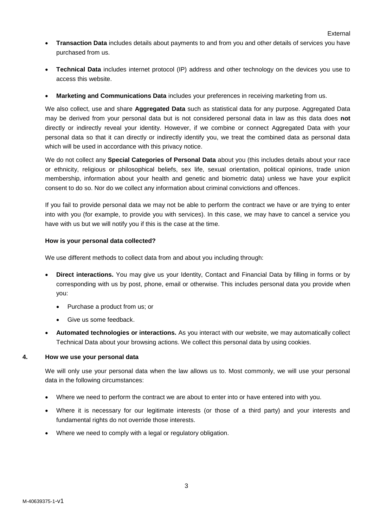- **Transaction Data** includes details about payments to and from you and other details of services you have purchased from us.
- **Technical Data** includes internet protocol (IP) address and other technology on the devices you use to access this website.
- **Marketing and Communications Data** includes your preferences in receiving marketing from us.

We also collect, use and share **Aggregated Data** such as statistical data for any purpose. Aggregated Data may be derived from your personal data but is not considered personal data in law as this data does **not** directly or indirectly reveal your identity. However, if we combine or connect Aggregated Data with your personal data so that it can directly or indirectly identify you, we treat the combined data as personal data which will be used in accordance with this privacy notice.

We do not collect any **Special Categories of Personal Data** about you (this includes details about your race or ethnicity, religious or philosophical beliefs, sex life, sexual orientation, political opinions, trade union membership, information about your health and genetic and biometric data) unless we have your explicit consent to do so. Nor do we collect any information about criminal convictions and offences.

If you fail to provide personal data we may not be able to perform the contract we have or are trying to enter into with you (for example, to provide you with services). In this case, we may have to cancel a service you have with us but we will notify you if this is the case at the time.

# **How is your personal data collected?**

We use different methods to collect data from and about you including through:

- **Direct interactions.** You may give us your Identity, Contact and Financial Data by filling in forms or by corresponding with us by post, phone, email or otherwise. This includes personal data you provide when you:
	- Purchase a product from us; or
	- Give us some feedback.
- **Automated technologies or interactions.** As you interact with our website, we may automatically collect Technical Data about your browsing actions. We collect this personal data by using cookies.

# <span id="page-2-0"></span>**4. How we use your personal data**

We will only use your personal data when the law allows us to. Most commonly, we will use your personal data in the following circumstances:

- Where we need to perform the contract we are about to enter into or have entered into with you.
- Where it is necessary for our legitimate interests (or those of a third party) and your interests and fundamental rights do not override those interests.
- Where we need to comply with a legal or regulatory obligation.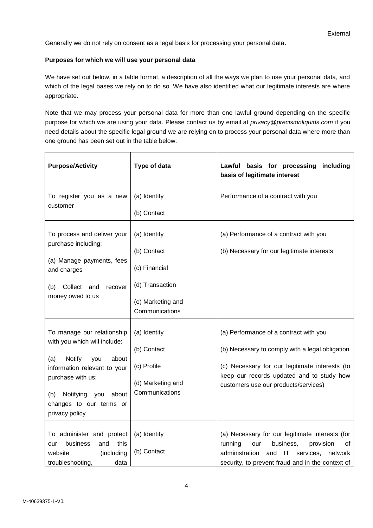Generally we do not rely on consent as a legal basis for processing your personal data.

# **Purposes for which we will use your personal data**

We have set out below, in a table format, a description of all the ways we plan to use your personal data, and which of the legal bases we rely on to do so. We have also identified what our legitimate interests are where appropriate.

Note that we may process your personal data for more than one lawful ground depending on the specific purpose for which we are using your data. Please contact us by email at *[privacy@precisionliquids.com](mailto:privacy@precisionliquids.com)* if you need details about the specific legal ground we are relying on to process your personal data where more than one ground has been set out in the table below.

| <b>Purpose/Activity</b>                                                                                                                                                                                                        | Type of data                                                                                           | Lawful basis for processing including<br>basis of legitimate interest                                                                                                                                                            |
|--------------------------------------------------------------------------------------------------------------------------------------------------------------------------------------------------------------------------------|--------------------------------------------------------------------------------------------------------|----------------------------------------------------------------------------------------------------------------------------------------------------------------------------------------------------------------------------------|
| To register you as a new<br>customer                                                                                                                                                                                           | (a) Identity<br>(b) Contact                                                                            | Performance of a contract with you                                                                                                                                                                                               |
| To process and deliver your<br>purchase including:<br>(a) Manage payments, fees<br>and charges<br>Collect<br>(b)<br>and<br>recover<br>money owed to us                                                                         | (a) Identity<br>(b) Contact<br>(c) Financial<br>(d) Transaction<br>(e) Marketing and<br>Communications | (a) Performance of a contract with you<br>(b) Necessary for our legitimate interests                                                                                                                                             |
| To manage our relationship<br>with you which will include:<br>Notify<br>about<br>(a)<br>you<br>information relevant to your<br>purchase with us;<br>Notifying you<br>about<br>(b)<br>changes to our terms or<br>privacy policy | (a) Identity<br>(b) Contact<br>(c) Profile<br>(d) Marketing and<br>Communications                      | (a) Performance of a contract with you<br>(b) Necessary to comply with a legal obligation<br>(c) Necessary for our legitimate interests (to<br>keep our records updated and to study how<br>customers use our products/services) |
| To administer and protect<br>business<br>this<br>and<br>our<br>(including<br>website<br>data<br>troubleshooting,                                                                                                               | (a) Identity<br>(b) Contact                                                                            | (a) Necessary for our legitimate interests (for<br>business,<br>provision<br>running<br>our<br>0f<br>and IT services,<br>administration<br>network<br>security, to prevent fraud and in the context of                           |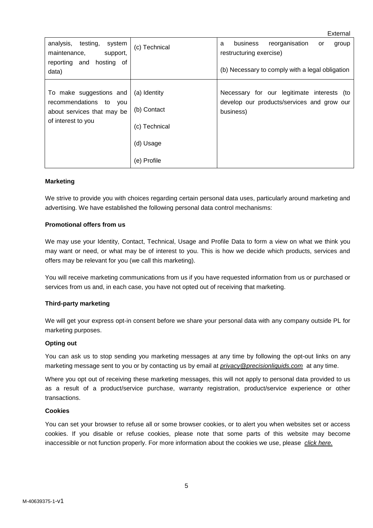|                                                                                                       |                                                           | - Awii 101                                                                                                                   |
|-------------------------------------------------------------------------------------------------------|-----------------------------------------------------------|------------------------------------------------------------------------------------------------------------------------------|
| analysis,<br>testing,<br>system<br>maintenance,<br>support,<br>reporting and<br>hosting of<br>data)   | (c) Technical                                             | reorganisation<br>business<br>a<br>group<br>or<br>restructuring exercise)<br>(b) Necessary to comply with a legal obligation |
| To make suggestions and<br>recommendations to you<br>about services that may be<br>of interest to you | (a) Identity<br>(b) Contact<br>(c) Technical<br>(d) Usage | Necessary for our legitimate interests (to<br>develop our products/services and grow our<br>business)                        |
|                                                                                                       | (e) Profile                                               |                                                                                                                              |

External

## **Marketing**

We strive to provide you with choices regarding certain personal data uses, particularly around marketing and advertising. We have established the following personal data control mechanisms:

# **Promotional offers from us**

We may use your Identity, Contact, Technical, Usage and Profile Data to form a view on what we think you may want or need, or what may be of interest to you. This is how we decide which products, services and offers may be relevant for you (we call this marketing).

You will receive marketing communications from us if you have requested information from us or purchased or services from us and, in each case, you have not opted out of receiving that marketing.

#### **Third-party marketing**

We will get your express opt-in consent before we share your personal data with any company outside PL for marketing purposes.

#### **Opting out**

You can ask us to stop sending you marketing messages at any time by following the opt-out links on any marketing message sent to you or by contacting us by email at *[privacy@precisionliquids.com](mailto:privacy@precisionliquids.com)* at any time.

Where you opt out of receiving these marketing messages, this will not apply to personal data provided to us as a result of a product/service purchase, warranty registration, product/service experience or other transactions.

#### **Cookies**

You can set your browser to refuse all or some browser cookies, or to alert you when websites set or access cookies. If you disable or refuse cookies, please note that some parts of this website may become inaccessible or not function properly. For more information about the cookies we use, please *[click here.](http://wrbarnett.com/files/Cookie_Policy_WRB_Group.pdf)*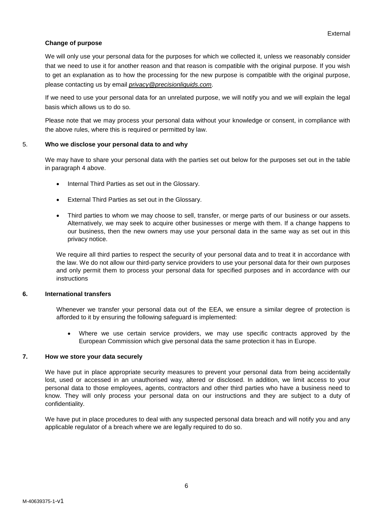# **Change of purpose**

We will only use your personal data for the purposes for which we collected it, unless we reasonably consider that we need to use it for another reason and that reason is compatible with the original purpose. If you wish to get an explanation as to how the processing for the new purpose is compatible with the original purpose, please contacting us by email *[privacy@precisionliquids.com](mailto:privacy@precisionliquids.com)*.

If we need to use your personal data for an unrelated purpose, we will notify you and we will explain the legal basis which allows us to do so.

Please note that we may process your personal data without your knowledge or consent, in compliance with the above rules, where this is required or permitted by law.

## <span id="page-5-0"></span>5. **Who we disclose your personal data to and why**

We may have to share your personal data with the parties set out below for the purposes set out in the table in paragraph 4 above.

- Internal Third Parties as set out in the Glossary.
- External Third Parties as set out in the Glossary.
- Third parties to whom we may choose to sell, transfer, or merge parts of our business or our assets. Alternatively, we may seek to acquire other businesses or merge with them. If a change happens to our business, then the new owners may use your personal data in the same way as set out in this privacy notice.

We require all third parties to respect the security of your personal data and to treat it in accordance with the law. We do not allow our third-party service providers to use your personal data for their own purposes and only permit them to process your personal data for specified purposes and in accordance with our instructions

#### <span id="page-5-1"></span>**6. International transfers**

Whenever we transfer your personal data out of the EEA, we ensure a similar degree of protection is afforded to it by ensuring the following safeguard is implemented:

 Where we use certain service providers, we may use specific contracts approved by the European Commission which give personal data the same protection it has in Europe.

#### <span id="page-5-2"></span>**7. How we store your data securely**

We have put in place appropriate security measures to prevent your personal data from being accidentally lost, used or accessed in an unauthorised way, altered or disclosed. In addition, we limit access to your personal data to those employees, agents, contractors and other third parties who have a business need to know. They will only process your personal data on our instructions and they are subject to a duty of confidentiality.

We have put in place procedures to deal with any suspected personal data breach and will notify you and any applicable regulator of a breach where we are legally required to do so.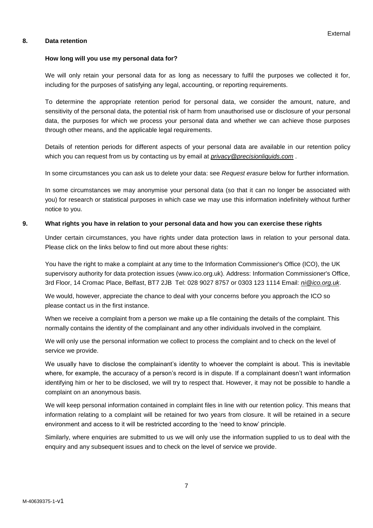# <span id="page-6-0"></span>**8. Data retention**

### **How long will you use my personal data for?**

We will only retain your personal data for as long as necessary to fulfil the purposes we collected it for, including for the purposes of satisfying any legal, accounting, or reporting requirements.

To determine the appropriate retention period for personal data, we consider the amount, nature, and sensitivity of the personal data, the potential risk of harm from unauthorised use or disclosure of your personal data, the purposes for which we process your personal data and whether we can achieve those purposes through other means, and the applicable legal requirements.

Details of retention periods for different aspects of your personal data are available in our retention policy which you can request from us by contacting us by email at *[privacy@precisionliquids.com](mailto:privacy@precisionliquids.com)* .

In some circumstances you can ask us to delete your data: see *Request erasure* below for further information.

In some circumstances we may anonymise your personal data (so that it can no longer be associated with you) for research or statistical purposes in which case we may use this information indefinitely without further notice to you.

#### <span id="page-6-1"></span>**9. What rights you have in relation to your personal data and how you can exercise these rights**

Under certain circumstances, you have rights under data protection laws in relation to your personal data. Please click on the links below to find out more about these rights:

You have the right to make a complaint at any time to the Information Commissioner's Office (ICO), the UK supervisory authority for data protection issues (www.ico.org.uk). Address: Information Commissioner's Office, 3rd Floor, 14 Cromac Place, Belfast, BT7 2JB Tel: 028 9027 8757 or 0303 123 1114 Email: *[ni@ico.org.uk](mailto:ni@ico.org.uk)*.

We would, however, appreciate the chance to deal with your concerns before you approach the ICO so please contact us in the first instance.

When we receive a complaint from a person we make up a file containing the details of the complaint. This normally contains the identity of the complainant and any other individuals involved in the complaint.

We will only use the personal information we collect to process the complaint and to check on the level of service we provide.

We usually have to disclose the complainant's identity to whoever the complaint is about. This is inevitable where, for example, the accuracy of a person's record is in dispute. If a complainant doesn't want information identifying him or her to be disclosed, we will try to respect that. However, it may not be possible to handle a complaint on an anonymous basis.

We will keep personal information contained in complaint files in line with our retention policy. This means that information relating to a complaint will be retained for two years from closure. It will be retained in a secure environment and access to it will be restricted according to the 'need to know' principle.

Similarly, where enquiries are submitted to us we will only use the information supplied to us to deal with the enquiry and any subsequent issues and to check on the level of service we provide.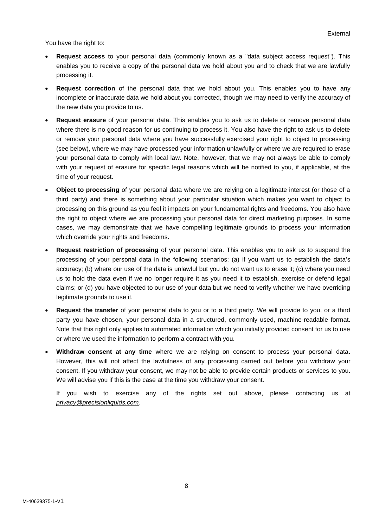You have the right to:

- **Request access** to your personal data (commonly known as a "data subject access request"). This enables you to receive a copy of the personal data we hold about you and to check that we are lawfully processing it.
- **Request correction** of the personal data that we hold about you. This enables you to have any incomplete or inaccurate data we hold about you corrected, though we may need to verify the accuracy of the new data you provide to us.
- **Request erasure** of your personal data. This enables you to ask us to delete or remove personal data where there is no good reason for us continuing to process it. You also have the right to ask us to delete or remove your personal data where you have successfully exercised your right to object to processing (see below), where we may have processed your information unlawfully or where we are required to erase your personal data to comply with local law. Note, however, that we may not always be able to comply with your request of erasure for specific legal reasons which will be notified to you, if applicable, at the time of your request.
- **Object to processing** of your personal data where we are relying on a legitimate interest (or those of a third party) and there is something about your particular situation which makes you want to object to processing on this ground as you feel it impacts on your fundamental rights and freedoms. You also have the right to object where we are processing your personal data for direct marketing purposes. In some cases, we may demonstrate that we have compelling legitimate grounds to process your information which override your rights and freedoms.
- **Request restriction of processing** of your personal data. This enables you to ask us to suspend the processing of your personal data in the following scenarios: (a) if you want us to establish the data's accuracy; (b) where our use of the data is unlawful but you do not want us to erase it; (c) where you need us to hold the data even if we no longer require it as you need it to establish, exercise or defend legal claims; or (d) you have objected to our use of your data but we need to verify whether we have overriding legitimate grounds to use it.
- **Request the transfer** of your personal data to you or to a third party. We will provide to you, or a third party you have chosen, your personal data in a structured, commonly used, machine-readable format. Note that this right only applies to automated information which you initially provided consent for us to use or where we used the information to perform a contract with you.
- **Withdraw consent at any time** where we are relying on consent to process your personal data. However, this will not affect the lawfulness of any processing carried out before you withdraw your consent. If you withdraw your consent, we may not be able to provide certain products or services to you. We will advise you if this is the case at the time you withdraw your consent.

If you wish to exercise any of the rights set out above, please contacting us at *[privacy@precisionliquids.com](mailto:privacy@precisionliquids.com)*.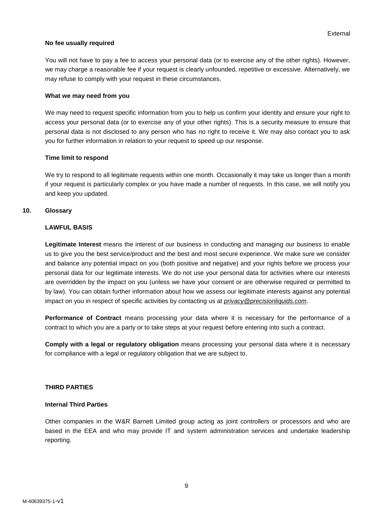# **No fee usually required**

You will not have to pay a fee to access your personal data (or to exercise any of the other rights). However, we may charge a reasonable fee if your request is clearly unfounded, repetitive or excessive. Alternatively, we may refuse to comply with your request in these circumstances.

#### **What we may need from you**

We may need to request specific information from you to help us confirm your identity and ensure your right to access your personal data (or to exercise any of your other rights). This is a security measure to ensure that personal data is not disclosed to any person who has no right to receive it. We may also contact you to ask you for further information in relation to your request to speed up our response.

## **Time limit to respond**

We try to respond to all legitimate requests within one month. Occasionally it may take us longer than a month if your request is particularly complex or you have made a number of requests. In this case, we will notify you and keep you updated.

## <span id="page-8-0"></span>**10. Glossary**

## **LAWFUL BASIS**

**Legitimate Interest** means the interest of our business in conducting and managing our business to enable us to give you the best service/product and the best and most secure experience. We make sure we consider and balance any potential impact on you (both positive and negative) and your rights before we process your personal data for our legitimate interests. We do not use your personal data for activities where our interests are overridden by the impact on you (unless we have your consent or are otherwise required or permitted to by law). You can obtain further information about how we assess our legitimate interests against any potential impact on you in respect of specific activities by contacting us at *[privacy@precisionliquids.com](mailto:privacy@precisionliquids.com)*.

**Performance of Contract** means processing your data where it is necessary for the performance of a contract to which you are a party or to take steps at your request before entering into such a contract.

**Comply with a legal or regulatory obligation** means processing your personal data where it is necessary for compliance with a legal or regulatory obligation that we are subject to.

### **THIRD PARTIES**

# **Internal Third Parties**

Other companies in the W&R Barnett Limited group acting as joint controllers or processors and who are based in the EEA and who may provide IT and system administration services and undertake leadership reporting.